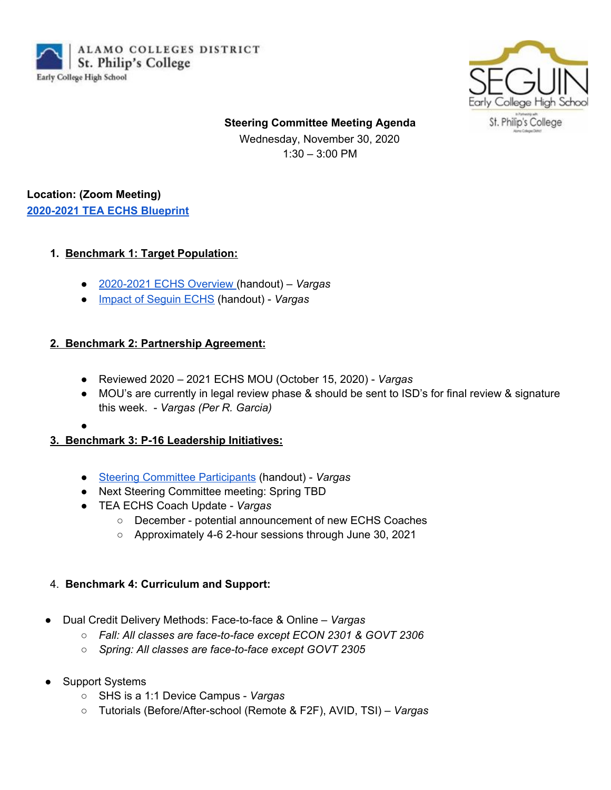ALAMO COLLEGES DISTRICT St. Philip's College Early College High School



**Steering Committee Meeting Agenda**

Wednesday, November 30, 2020 1:30 – 3:00 PM

## **Location: (Zoom Meeting) [2020-2021](https://drive.google.com/file/d/14zC9D4IeJ7hZ4YEkQ2rPdRQUGpk-u_1K/view?usp=sharing) TEA ECHS Blueprint**

### **1. Benchmark 1: Target Population:**

- [2020-2021](https://docs.google.com/spreadsheets/d/1D0yOkrdhFF68qHY4_4H8EXMV_iSEHV1_iQV4LdTRKmQ/edit?usp=sharing) ECHS Overview (handout) *Vargas*
- *●* Impact of [Seguin](https://drive.google.com/file/d/118RxmcO3KEBKOsBhoDNQIkoBhtgHZag1/view?usp=sharing) ECHS (handout) *Vargas*

### **2. Benchmark 2: Partnership Agreement:**

- Reviewed 2020 2021 ECHS MOU (October 15, 2020) *Vargas*
- MOU's are currently in legal review phase & should be sent to ISD's for final review & signature this week. - *Vargas (Per R. Garcia)*
- ●

# **3. Benchmark 3: P-16 Leadership Initiatives:**

- Steering Committee [Participants](https://drive.google.com/file/d/1DJHJCgRNW7aCXhDYk0pvQyHfpDbaNUQm/view?usp=sharing) (handout) *Vargas*
- Next Steering Committee meeting: Spring TBD
- TEA ECHS Coach Update *Vargas*
	- December potential announcement of new ECHS Coaches
	- Approximately 4-6 2-hour sessions through June 30, 2021

# 4. **Benchmark 4: Curriculum and Support:**

- Dual Credit Delivery Methods: Face-to-face & Online *Vargas*
	- *○ Fall: All classes are face-to-face except ECON 2301 & GOVT 2306*
	- *○ Spring: All classes are face-to-face except GOVT 2305*
- **Support Systems** 
	- SHS is a 1:1 Device Campus *Vargas*
	- Tutorials (Before/After-school (Remote & F2F), AVID, TSI) *Vargas*